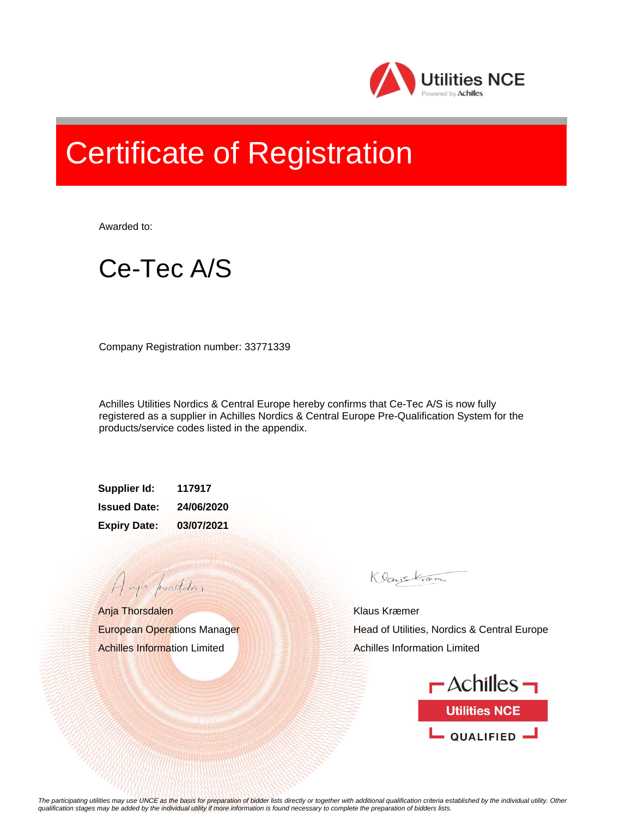

## Certificate of Registration

Awarded to:



Company Registration number: 33771339

Achilles Utilities Nordics & Central Europe hereby confirms that Ce-Tec A/S is now fully registered as a supplier in Achilles Nordics & Central Europe Pre-Qualification System for the products/service codes listed in the appendix.

**Supplier Id: 117917 Issued Date: 24/06/2020 Expiry Date: 03/07/2021**

Anja Thorsdalen European Operations Manager Achilles Information Limited

A aja providdan

Klauskam

Klaus Kræmer Head of Utilities, Nordics & Central Europe Achilles Information Limited



*The participating utilities may use UNCE as the basis for preparation of bidder lists directly or together with additional qualification criteria established by the individual utility. Other qualification stages may be added by the individual utility if more information is found necessary to complete the preparation of bidders lists.*